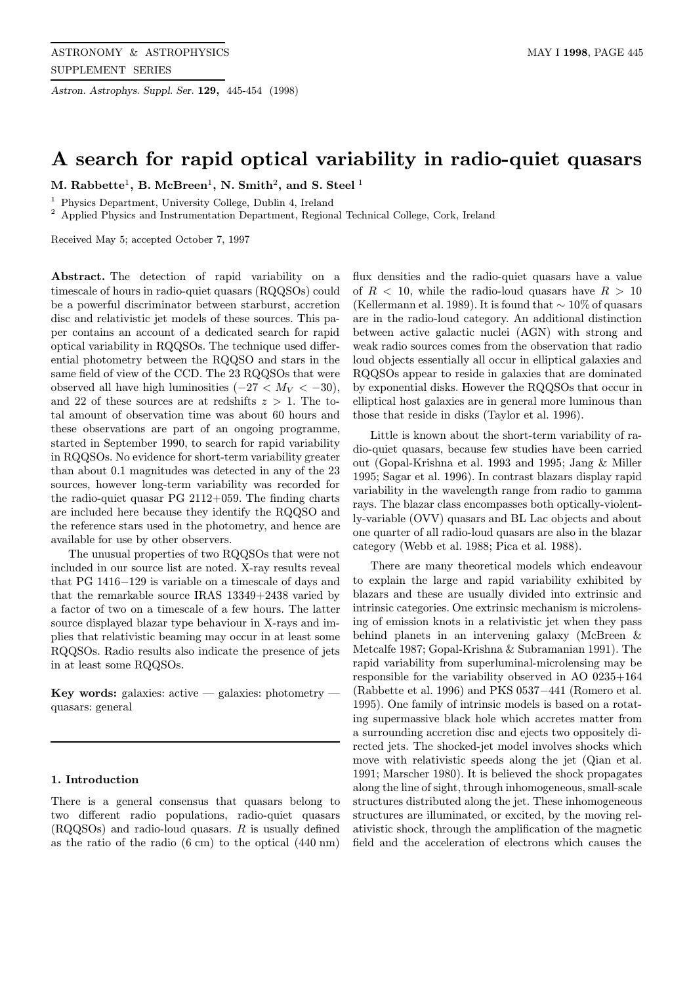Astron. Astrophys. Suppl. Ser. 129, 445-454 (1998)

# A search for rapid optical variability in radio-quiet quasars

M. Rabbette<sup>1</sup>, B. McBreen<sup>1</sup>, N. Smith<sup>2</sup>, and S. Steel<sup>1</sup>

<sup>1</sup> Physics Department, University College, Dublin 4, Ireland

<sup>2</sup> Applied Physics and Instrumentation Department, Regional Technical College, Cork, Ireland

Received May 5; accepted October 7, 1997

Abstract. The detection of rapid variability on a timescale of hours in radio-quiet quasars (RQQSOs) could be a powerful discriminator between starburst, accretion disc and relativistic jet models of these sources. This paper contains an account of a dedicated search for rapid optical variability in RQQSOs. The technique used differential photometry between the RQQSO and stars in the same field of view of the CCD. The 23 RQQSOs that were observed all have high luminosities  $(-27 < M_V < -30)$ , and 22 of these sources are at redshifts  $z > 1$ . The total amount of observation time was about 60 hours and these observations are part of an ongoing programme, started in September 1990, to search for rapid variability in RQQSOs. No evidence for short-term variability greater than about 0.1 magnitudes was detected in any of the 23 sources, however long-term variability was recorded for the radio-quiet quasar PG 2112+059. The finding charts are included here because they identify the RQQSO and the reference stars used in the photometry, and hence are available for use by other observers.

The unusual properties of two RQQSOs that were not included in our source list are noted. X-ray results reveal that PG 1416−129 is variable on a timescale of days and that the remarkable source IRAS 13349+2438 varied by a factor of two on a timescale of a few hours. The latter source displayed blazar type behaviour in X-rays and implies that relativistic beaming may occur in at least some RQQSOs. Radio results also indicate the presence of jets in at least some RQQSOs.

Key words: galaxies: active  $-$  galaxies: photometry  $$ quasars: general

# 1. Introduction

There is a general consensus that quasars belong to two different radio populations, radio-quiet quasars (RQQSOs) and radio-loud quasars. R is usually defined as the ratio of the radio (6 cm) to the optical (440 nm)

flux densities and the radio-quiet quasars have a value of  $R < 10$ , while the radio-loud quasars have  $R > 10$ (Kellermann et al. 1989). It is found that  $\sim 10\%$  of quasars are in the radio-loud category. An additional distinction between active galactic nuclei (AGN) with strong and weak radio sources comes from the observation that radio loud objects essentially all occur in elliptical galaxies and RQQSOs appear to reside in galaxies that are dominated by exponential disks. However the RQQSOs that occur in elliptical host galaxies are in general more luminous than those that reside in disks (Taylor et al. 1996).

Little is known about the short-term variability of radio-quiet quasars, because few studies have been carried out (Gopal-Krishna et al. 1993 and 1995; Jang & Miller 1995; Sagar et al. 1996). In contrast blazars display rapid variability in the wavelength range from radio to gamma rays. The blazar class encompasses both optically-violently-variable (OVV) quasars and BL Lac objects and about one quarter of all radio-loud quasars are also in the blazar category (Webb et al. 1988; Pica et al. 1988).

There are many theoretical models which endeavour to explain the large and rapid variability exhibited by blazars and these are usually divided into extrinsic and intrinsic categories. One extrinsic mechanism is microlensing of emission knots in a relativistic jet when they pass behind planets in an intervening galaxy (McBreen & Metcalfe 1987; Gopal-Krishna & Subramanian 1991). The rapid variability from superluminal-microlensing may be responsible for the variability observed in AO 0235+164 (Rabbette et al. 1996) and PKS 0537−441 (Romero et al. 1995). One family of intrinsic models is based on a rotating supermassive black hole which accretes matter from a surrounding accretion disc and ejects two oppositely directed jets. The shocked-jet model involves shocks which move with relativistic speeds along the jet (Qian et al. 1991; Marscher 1980). It is believed the shock propagates along the line of sight, through inhomogeneous, small-scale structures distributed along the jet. These inhomogeneous structures are illuminated, or excited, by the moving relativistic shock, through the amplification of the magnetic field and the acceleration of electrons which causes the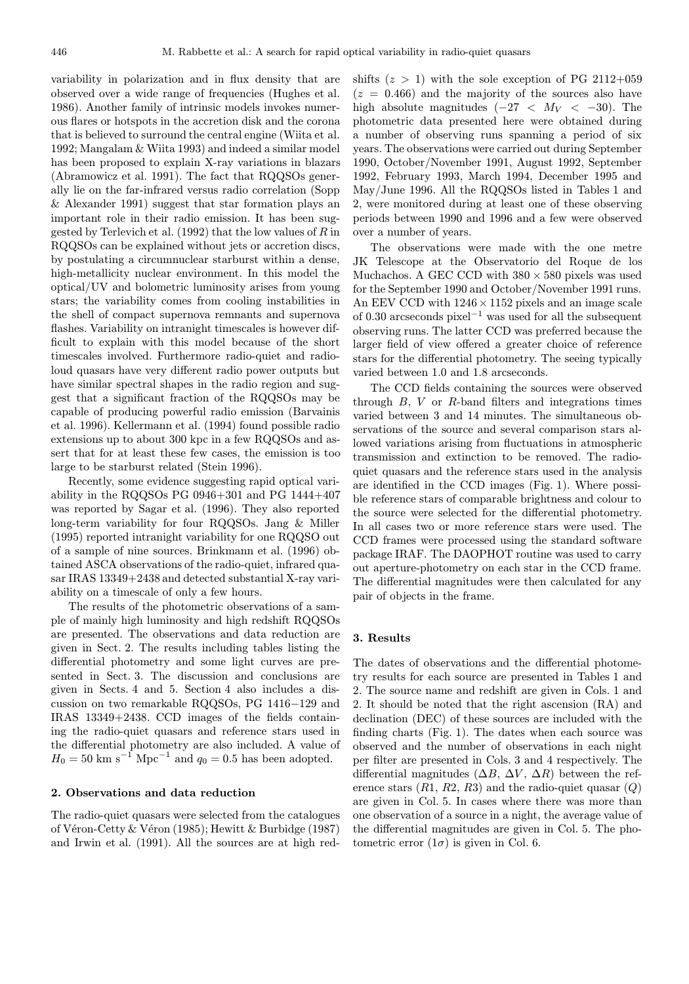variability in polarization and in flux density that are observed over a wide range of frequencies (Hughes et al. 1986). Another family of intrinsic models invokes numerous flares or hotspots in the accretion disk and the corona that is believed to surround the central engine (Wiita et al. 1992; Mangalam & Wiita 1993) and indeed a similar model has been proposed to explain X-ray variations in blazars (Abramowicz et al. 1991). The fact that RQQSOs generally lie on the far-infrared versus radio correlation (Sopp & Alexander 1991) suggest that star formation plays an important role in their radio emission. It has been suggested by Terlevich et al. (1992) that the low values of  $R$  in RQQSOs can be explained without jets or accretion discs, by postulating a circumnuclear starburst within a dense, high-metallicity nuclear environment. In this model the optical/UV and bolometric luminosity arises from young stars; the variability comes from cooling instabilities in the shell of compact supernova remnants and supernova flashes. Variability on intranight timescales is however difficult to explain with this model because of the short timescales involved. Furthermore radio-quiet and radioloud quasars have very different radio power outputs but have similar spectral shapes in the radio region and suggest that a significant fraction of the RQQSOs may be capable of producing powerful radio emission (Barvainis et al. 1996). Kellermann et al. (1994) found possible radio extensions up to about 300 kpc in a few RQQSOs and assert that for at least these few cases, the emission is too large to be starburst related (Stein 1996).

Recently, some evidence suggesting rapid optical variability in the RQQSOs PG  $0946+301$  and PG  $1444+407$ was reported by Sagar et al. (1996). They also reported long-term variability for four RQQSOs. Jang & Miller (1995) reported intranight variability for one RQQSO out of a sample of nine sources. Brinkmann et al. (1996) obtained ASCA observations of the radio-quiet, infrared quasar IRAS 13349+2438 and detected substantial X-ray variability on a timescale of only a few hours.

The results of the photometric observations of a sample of mainly high luminosity and high redshift RQQSOs are presented. The observations and data reduction are given in Sect. 2. The results including tables listing the differential photometry and some light curves are presented in Sect. 3. The discussion and conclusions are given in Sects. 4 and 5. Section 4 also includes a discussion on two remarkable RQQSOs, PG 1416−129 and IRAS 13349+2438. CCD images of the fields containing the radio-quiet quasars and reference stars used in the differential photometry are also included. A value of  $H_0 = 50 \text{ km s}^{-1} \text{ Mpc}^{-1}$  and  $q_0 = 0.5$  has been adopted.

### 2. Observations and data reduction

The radio-quiet quasars were selected from the catalogues of Véron-Cetty & Véron (1985); Hewitt & Burbidge (1987) and Irwin et al. (1991). All the sources are at high redshifts  $(z > 1)$  with the sole exception of PG 2112+059  $(z = 0.466)$  and the majority of the sources also have high absolute magnitudes  $(-27 < M_V < -30)$ . The photometric data presented here were obtained during a number of observing runs spanning a period of six years. The observations were carried out during September 1990, October/November 1991, August 1992, September 1992, February 1993, March 1994, December 1995 and May/June 1996. All the RQQSOs listed in Tables 1 and 2, were monitored during at least one of these observing periods between 1990 and 1996 and a few were observed over a number of years.

The observations were made with the one metre JK Telescope at the Observatorio del Roque de los Muchachos. A GEC CCD with  $380\times580$  pixels was used for the September 1990 and October/November 1991 runs. An EEV CCD with  $1246 \times 1152$  pixels and an image scale of 0.30 arcseconds pixel<sup>−</sup><sup>1</sup> was used for all the subsequent observing runs. The latter CCD was preferred because the larger field of view offered a greater choice of reference stars for the differential photometry. The seeing typically varied between 1.0 and 1.8 arcseconds.

The CCD fields containing the sources were observed through  $B$ ,  $V$  or  $R$ -band filters and integrations times varied between 3 and 14 minutes. The simultaneous observations of the source and several comparison stars allowed variations arising from fluctuations in atmospheric transmission and extinction to be removed. The radioquiet quasars and the reference stars used in the analysis are identified in the CCD images (Fig. 1). Where possible reference stars of comparable brightness and colour to the source were selected for the differential photometry. In all cases two or more reference stars were used. The CCD frames were processed using the standard software package IRAF. The DAOPHOT routine was used to carry out aperture-photometry on each star in the CCD frame. The differential magnitudes were then calculated for any pair of objects in the frame.

#### 3. Results

The dates of observations and the differential photometry results for each source are presented in Tables 1 and 2. The source name and redshift are given in Cols. 1 and 2. It should be noted that the right ascension (RA) and declination (DEC) of these sources are included with the finding charts (Fig. 1). The dates when each source was observed and the number of observations in each night per filter are presented in Cols. 3 and 4 respectively. The differential magnitudes  $(\Delta B, \Delta V, \Delta R)$  between the reference stars  $(R1, R2, R3)$  and the radio-quiet quasar  $(Q)$ are given in Col. 5. In cases where there was more than one observation of a source in a night, the average value of the differential magnitudes are given in Col. 5. The photometric error  $(1\sigma)$  is given in Col. 6.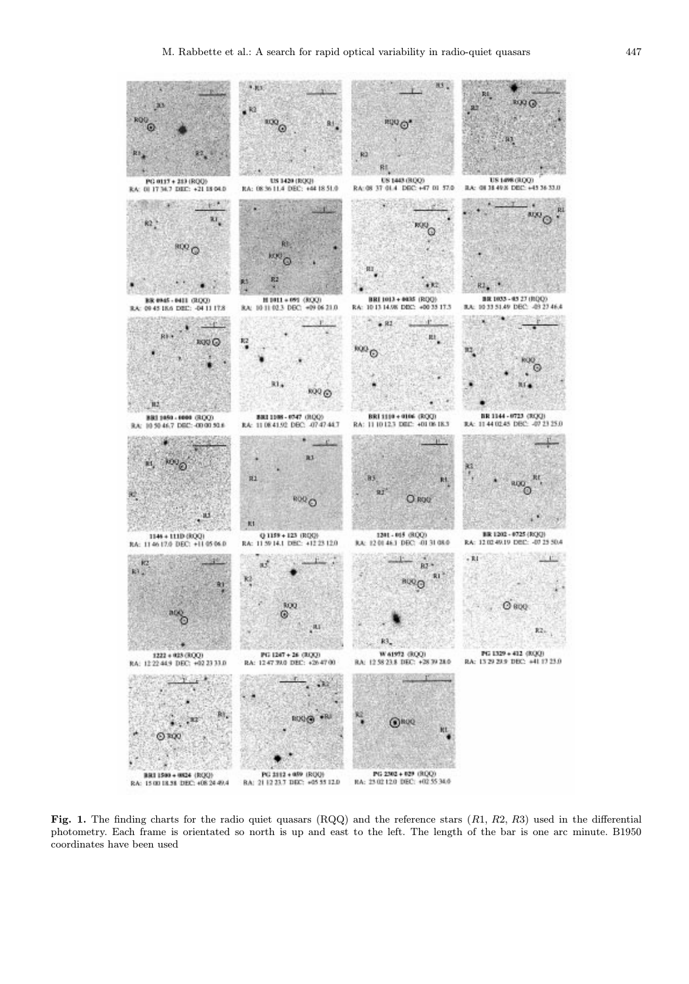

Fig. 1. The finding charts for the radio quiet quasars  $(RQQ)$  and the reference stars  $(R1, R2, R3)$  used in the differential photometry. Each frame is orientated so north is up and east to the left. The length of the bar is one arc minute. B1950 coordinates have been used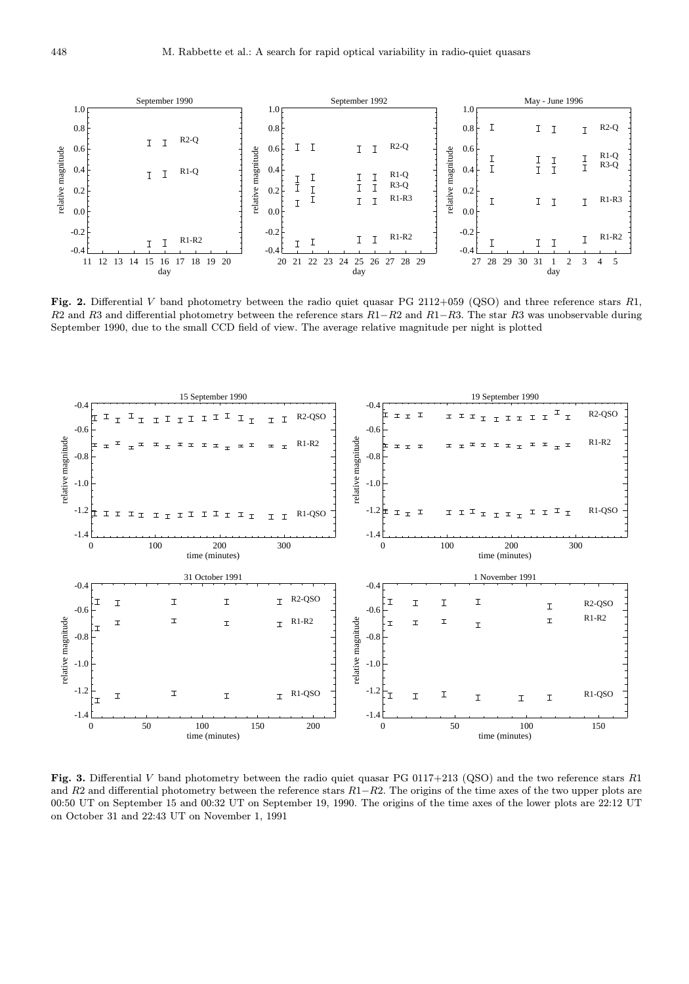

Fig. 2. Differential V band photometry between the radio quiet quasar PG 2112+059 (QSO) and three reference stars R1, R2 and R3 and differential photometry between the reference stars  $R1-R2$  and  $R1-R3$ . The star R3 was unobservable during September 1990, due to the small CCD field of view. The average relative magnitude per night is plotted



Fig. 3. Differential V band photometry between the radio quiet quasar PG 0117+213 (QSO) and the two reference stars R1 and R2 and differential photometry between the reference stars  $R1-R2$ . The origins of the time axes of the two upper plots are 00:50 UT on September 15 and 00:32 UT on September 19, 1990. The origins of the time axes of the lower plots are 22:12 UT on October 31 and 22:43 UT on November 1, 1991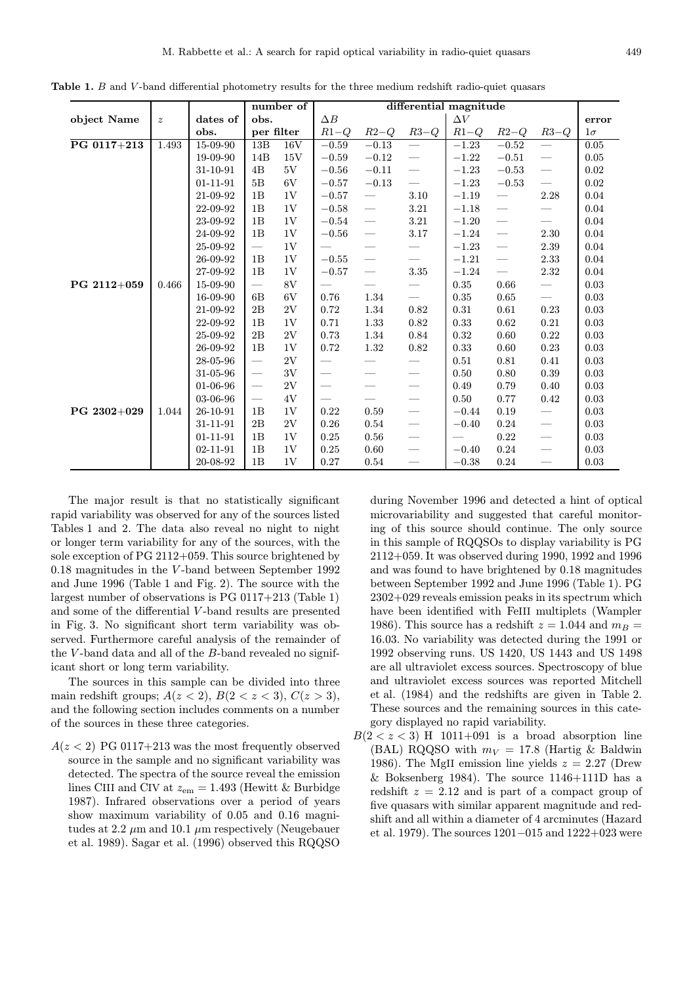|             |                  |                |                          | number of | differential magnitude   |                          |                                 |         |         |                                  |           |
|-------------|------------------|----------------|--------------------------|-----------|--------------------------|--------------------------|---------------------------------|---------|---------|----------------------------------|-----------|
| object Name | $\boldsymbol{z}$ | dates of       | obs.                     |           | $\Delta B$               | $\Delta V$               |                                 |         |         |                                  | error     |
|             |                  | obs.           | per filter               |           | $R1-Q$                   | $R2-Q$                   | $R3-Q$                          | $R1-Q$  | $R2-Q$  | $R3-Q$                           | $1\sigma$ |
| PG 0117+213 | 1.493            | 15-09-90       | 13B                      | 16V       | $-0.59$                  | $-0.13$                  | $\overline{\phantom{0}}$        | $-1.23$ | $-0.52$ | $\overline{\phantom{m}}$         | 0.05      |
|             |                  | 19-09-90       | 14B                      | 15V       | $-0.59$                  | $-0.12$                  | $\overline{\phantom{m}}$        | $-1.22$ | $-0.51$ |                                  | 0.05      |
|             |                  | 31-10-91       | 4B                       | 5V        | $-0.56$                  | $-0.11$                  | $\overline{\phantom{0}}$        | $-1.23$ | $-0.53$ | $\overbrace{\qquad \qquad }^{ }$ | 0.02      |
|             |                  | $01 - 11 - 91$ | 5B                       | 6V        | $-0.57$                  | $-0.13$                  | $\overline{\phantom{0}}$        | $-1.23$ | $-0.53$ |                                  | 0.02      |
|             |                  | 21-09-92       | 1B                       | 1V        | $-0.57$                  |                          | 3.10                            | $-1.19$ |         | 2.28                             | 0.04      |
|             |                  | 22-09-92       | 1B                       | 1V        | $-0.58$                  |                          | 3.21                            | $-1.18$ |         |                                  | 0.04      |
|             |                  | 23-09-92       | 1B                       | 1V        | $-0.54$                  |                          | 3.21                            | $-1.20$ |         | $\overline{\phantom{m}}$         | 0.04      |
|             |                  | 24-09-92       | 1B                       | 1V        | $-0.56$                  |                          | 3.17                            | $-1.24$ |         | 2.30                             | $0.04\,$  |
|             |                  | 25-09-92       | $\overline{\phantom{0}}$ | 1V        | $\qquad \qquad$          |                          | $\overbrace{\qquad \qquad }^{}$ | $-1.23$ |         | 2.39                             | 0.04      |
|             |                  | 26-09-92       | 1B                       | 1V        | $-0.55$                  |                          | $\overline{\phantom{0}}$        | $-1.21$ |         | $2.33\,$                         | 0.04      |
|             |                  | 27-09-92       | 1B                       | 1V        | $-0.57$                  |                          | $3.35\,$                        | $-1.24$ |         | 2.32                             | 0.04      |
| PG 2112+059 | 0.466            | 15-09-90       |                          | 8V        |                          | $\qquad \qquad$          | $\qquad \qquad \longleftarrow$  | 0.35    | 0.66    | $\qquad \qquad -$                | 0.03      |
|             |                  | 16-09-90       | 6B                       | 6V        | 0.76                     | 1.34                     | $\overline{\phantom{m}}$        | 0.35    | 0.65    | $\overline{\phantom{m}}$         | 0.03      |
|             |                  | 21-09-92       | 2B                       | 2V        | 0.72                     | 1.34                     | 0.82                            | 0.31    | 0.61    | 0.23                             | 0.03      |
|             |                  | 22-09-92       | 1B                       | 1V        | 0.71                     | 1.33                     | 0.82                            | 0.33    | 0.62    | 0.21                             | 0.03      |
|             |                  | 25-09-92       | 2B                       | 2V        | 0.73                     | 1.34                     | 0.84                            | 0.32    | 0.60    | 0.22                             | 0.03      |
|             |                  | 26-09-92       | 1B                       | 1V        | 0.72                     | 1.32                     | 0.82                            | 0.33    | 0.60    | 0.23                             | 0.03      |
|             |                  | 28-05-96       | $\overline{\phantom{m}}$ | 2V        | $\overline{\phantom{0}}$ | $\overline{\phantom{0}}$ | $\overbrace{\qquad \qquad }^{}$ | 0.51    | 0.81    | 0.41                             | 0.03      |
|             |                  | 31-05-96       |                          | 3V        | $\overline{\phantom{m}}$ |                          |                                 | 0.50    | 0.80    | 0.39                             | 0.03      |
|             |                  | 01-06-96       | $\overline{\phantom{m}}$ | 2V        |                          |                          | $\overline{\phantom{m}}$        | 0.49    | 0.79    | 0.40                             | 0.03      |
|             |                  | 03-06-96       | $\overline{\phantom{0}}$ | 4V        | $\overline{\phantom{m}}$ | $\overline{\phantom{0}}$ |                                 | 0.50    | 0.77    | 0.42                             | 0.03      |
| PG 2302+029 | 1.044            | 26-10-91       | 1B                       | 1V        | 0.22                     | 0.59                     | $\overline{\phantom{m}}$        | $-0.44$ | 0.19    | $\qquad \qquad -$                | 0.03      |
|             |                  | 31-11-91       | 2B                       | 2V        | 0.26                     | 0.54                     | $\overline{\phantom{m}}$        | $-0.40$ | 0.24    |                                  | 0.03      |
|             |                  | $01 - 11 - 91$ | 1B                       | 1V        | 0.25                     | 0.56                     | $\overline{\phantom{m}}$        |         | 0.22    | $\overbrace{\qquad \qquad }^{ }$ | 0.03      |
|             |                  | $02 - 11 - 91$ | 1B                       | 1V        | 0.25                     | 0.60                     | $\overline{\phantom{m}}$        | $-0.40$ | 0.24    | $\overline{\phantom{m}}$         | 0.03      |
|             |                  | 20-08-92       | 1B                       | 1V        | 0.27                     | 0.54                     | $\overline{\phantom{m}}$        | $-0.38$ | 0.24    | $\overline{\phantom{m}}$         | 0.03      |

Table 1. B and V-band differential photometry results for the three medium redshift radio-quiet quasars

The major result is that no statistically significant rapid variability was observed for any of the sources listed Tables 1 and 2. The data also reveal no night to night or longer term variability for any of the sources, with the sole exception of PG 2112+059. This source brightened by 0.18 magnitudes in the V -band between September 1992 and June 1996 (Table 1 and Fig. 2). The source with the largest number of observations is PG 0117+213 (Table 1) and some of the differential V -band results are presented in Fig. 3. No significant short term variability was observed. Furthermore careful analysis of the remainder of the  $V$ -band data and all of the  $B$ -band revealed no significant short or long term variability.

The sources in this sample can be divided into three main redshift groups;  $A(z < 2)$ ,  $B(2 < z < 3)$ ,  $C(z > 3)$ , and the following section includes comments on a number of the sources in these three categories.

 $A(z < 2)$  PG 0117+213 was the most frequently observed source in the sample and no significant variability was detected. The spectra of the source reveal the emission lines CIII and CIV at  $z_{em} = 1.493$  (Hewitt & Burbidge 1987). Infrared observations over a period of years show maximum variability of 0.05 and 0.16 magnitudes at 2.2  $\mu$ m and 10.1  $\mu$ m respectively (Neugebauer et al. 1989). Sagar et al. (1996) observed this RQQSO

during November 1996 and detected a hint of optical microvariability and suggested that careful monitoring of this source should continue. The only source in this sample of RQQSOs to display variability is PG 2112+059. It was observed during 1990, 1992 and 1996 and was found to have brightened by 0.18 magnitudes between September 1992 and June 1996 (Table 1). PG 2302+029 reveals emission peaks in its spectrum which have been identified with FeIII multiplets (Wampler 1986). This source has a redshift  $z = 1.044$  and  $m_B =$ 16.03. No variability was detected during the 1991 or 1992 observing runs. US 1420, US 1443 and US 1498 are all ultraviolet excess sources. Spectroscopy of blue and ultraviolet excess sources was reported Mitchell et al. (1984) and the redshifts are given in Table 2. These sources and the remaining sources in this category displayed no rapid variability.

 $B(2 < z < 3)$  H 1011+091 is a broad absorption line (BAL) RQQSO with  $m_V = 17.8$  (Hartig & Baldwin 1986). The MgII emission line yields  $z = 2.27$  (Drew & Boksenberg 1984). The source  $1146+111D$  has a redshift  $z = 2.12$  and is part of a compact group of five quasars with similar apparent magnitude and redshift and all within a diameter of 4 arcminutes (Hazard et al. 1979). The sources 1201−015 and 1222+023 were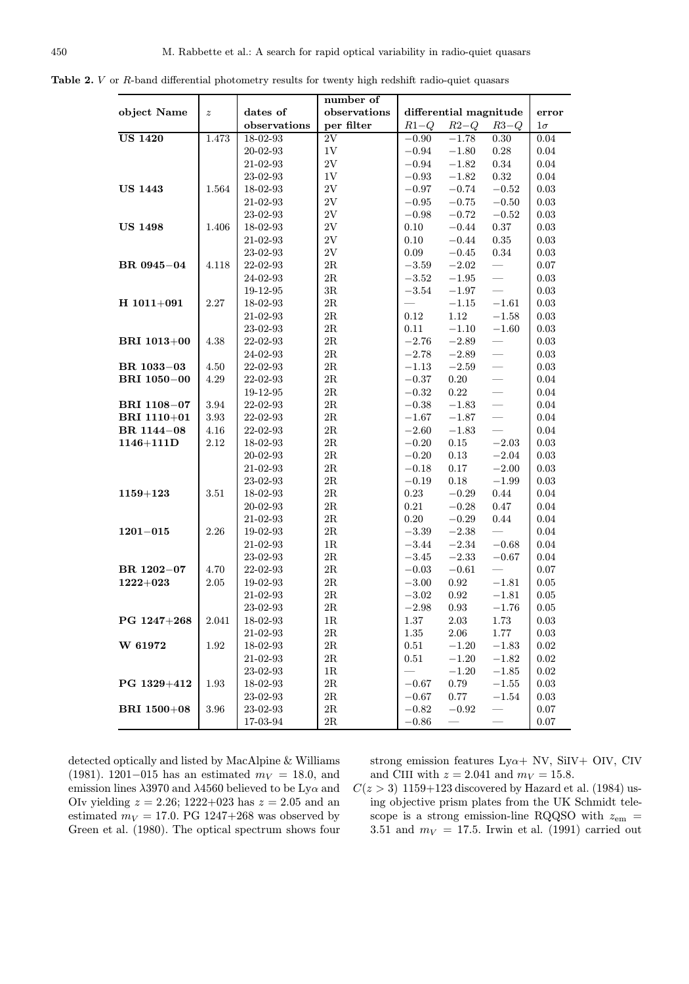|                    |                  |                | number of     |                        |            |                                     |            |
|--------------------|------------------|----------------|---------------|------------------------|------------|-------------------------------------|------------|
| object Name        | $\boldsymbol{z}$ | dates of       | observations  | differential magnitude |            |                                     | error      |
|                    |                  | observations   | per filter    | $R1-Q$                 | $R2-Q$     | $R3-Q$                              | $1\sigma$  |
| <b>US 1420</b>     | 1.473            | 18-02-93       | 2V            | $-0.90$                | $-1.78$    | 0.30                                | 0.04       |
|                    |                  | 20-02-93       | 1V            | $-0.94$                | $-1.80$    | 0.28                                | 0.04       |
|                    |                  | 21-02-93       | $2\mathrm{V}$ | $-0.94$                | $-1.82$    | $0.34\,$                            | $0.04\,$   |
|                    |                  | 23-02-93       | $1\mathrm{V}$ | $-0.93$                | $-1.82$    | $\rm 0.32$                          | $\rm 0.04$ |
| <b>US 1443</b>     | 1.564            | 18-02-93       | $2\mathrm{V}$ | $-0.97$                | $-0.74$    | $-0.52$                             | 0.03       |
|                    |                  | 21-02-93       | $2\mathrm{V}$ | $-0.95$                | $-0.75$    | $-0.50$                             | 0.03       |
|                    |                  | 23-02-93       | $2\mathrm{V}$ | $-0.98$                | $-0.72$    | $-0.52$                             | 0.03       |
| <b>US 1498</b>     | 1.406            | 18-02-93       | $2\mathrm{V}$ | 0.10                   | $-0.44$    | 0.37                                | 0.03       |
|                    |                  | 21-02-93       | $2\mathrm{V}$ | 0.10                   | $-0.44$    | $\rm 0.35$                          | $\rm 0.03$ |
|                    |                  | 23-02-93       | $2\mathrm{V}$ | 0.09                   | $-0.45$    | 0.34                                | 0.03       |
| BR 0945-04         | 4.118            | 22-02-93       | $2\mathrm{R}$ | $-3.59$                | $-2.02$    |                                     | 0.07       |
|                    |                  |                | $2\mathrm{R}$ | $-3.52$                |            | $\frac{1}{2}$                       |            |
|                    |                  | 24-02-93       | $3{\rm R}$    |                        | $-1.95$    | $\frac{1}{1}$                       | 0.03       |
|                    | 2.27             | 19-12-95       | $2\mathrm{R}$ | $-3.54$                | $-1.97$    |                                     | 0.03       |
| $H$ 1011+091       |                  | 18-02-93       |               |                        | $-1.15$    | $-1.61$                             | 0.03       |
|                    |                  | 21-02-93       | $2\mathbf{R}$ | 0.12                   | $1.12\,$   | $-1.58$                             | $\rm 0.03$ |
|                    |                  | 23-02-93       | $2\mathbf{R}$ | 0.11                   | $-1.10$    | $-1.60$<br>$\overline{\phantom{0}}$ | 0.03       |
| <b>BRI</b> 1013+00 | 4.38             | 22-02-93       | $2\mathrm{R}$ | $-2.76$                | $-2.89$    |                                     | 0.03       |
|                    |                  | 24-02-93       | $2\mathrm{R}$ | $-2.78$                | $-2.89$    | $\equiv$                            | 0.03       |
| BR 1033-03         | 4.50             | 22-02-93       | 2R            | $-1.13$                | $-2.59$    |                                     | 0.03       |
| <b>BRI</b> 1050-00 | 4.29             | 22-02-93       | $2\mathbf{R}$ | $-0.37$                | $0.20\,$   | $\overline{\phantom{0}}$            | 0.04       |
|                    |                  | 19-12-95       | $2\mathrm{R}$ | $-0.32$                | 0.22       | $\frac{1}{1}$                       | 0.04       |
| BRI 1108-07        | 3.94             | 22-02-93       | $2\mathbf{R}$ | $-0.38$                | $-1.83$    |                                     | 0.04       |
| BRI 1110+01        | 3.93             | 22-02-93       | $2\mathbf{R}$ | $-1.67$                | $-1.87$    | $\equiv$                            | 0.04       |
| BR 1144-08         | 4.16             | 22-02-93       | $2\mathrm{R}$ | $-2.60$                | $-1.83$    | $\qquad \qquad$                     | 0.04       |
| $1146 + 111D$      | 2.12             | 18-02-93       | $2\mathrm{R}$ | $-0.20$                | 0.15       | $-2.03$                             | 0.03       |
|                    |                  | 20-02-93       | $2\mathbf{R}$ | $-0.20$                | $0.13\,$   | $-2.04$                             | 0.03       |
|                    |                  | 21-02-93       | $2\mathrm{R}$ | $-0.18$                | 0.17       | $-2.00$                             | 0.03       |
|                    |                  | 23-02-93       | $2\mathrm{R}$ | $-0.19$                | 0.18       | $-1.99$                             | 0.03       |
| $1159 + 123$       | 3.51             | 18-02-93       | $2\mathbf{R}$ | 0.23                   | $-0.29$    | $0.44\,$                            | 0.04       |
|                    |                  | 20-02-93       | $2\mathrm{R}$ | 0.21                   | $-0.28$    | 0.47                                | 0.04       |
|                    |                  | 21-02-93       | $2\mathrm{R}$ | 0.20                   | $-0.29$    | 0.44                                | 0.04       |
| $1201 - 015$       | 2.26             | 19-02-93       | $2\mathrm{R}$ | $-3.39$                | $-2.38$    |                                     | $0.04\,$   |
|                    |                  | 21-02-93       | $1\mathrm{R}$ | $-3.44$                | $-2.34$    | $-0.68$                             | 0.04       |
|                    |                  | 23-02-93       | $2\mathrm{R}$ | $-3.45$                | $-2.33$    | $-0.67$                             | 0.04       |
| BR 1202-07         | 4.70             | 22-02-93       | $2\mathrm{R}$ | $-0.03$                | $-0.61$    |                                     | 0.07       |
| $1222 + 023$       | 2.05             | 19-02-93       | $2\mathrm{R}$ | $-3.00$                | 0.92       | $-1.81$                             | 0.05       |
|                    |                  | 21-02-93       | $2\mathrm{R}$ | $-3.02$                | 0.92       | $-1.81$                             | 0.05       |
|                    |                  | $23 - 02 - 93$ | $2\mathbf{R}$ | $-2.98\,$              | $\rm 0.93$ | $-1.76$                             | $\rm 0.05$ |
| PG 1247+268        | 2.041            | 18-02-93       | 1R            | 1.37                   | 2.03       | 1.73                                | 0.03       |
|                    |                  | 21-02-93       | $2\mathbf{R}$ | $1.35\,$               | $2.06\,$   | $1.77\,$                            | 0.03       |
| W 61972            | 1.92             | 18-02-93       | $2\mathrm{R}$ | 0.51                   | $-1.20$    | $-1.83$                             | 0.02       |
|                    |                  | 21-02-93       | $2\mathrm{R}$ | 0.51                   | $-1.20$    | $-1.82$                             | 0.02       |
|                    |                  | 23-02-93       | $1\mathrm{R}$ |                        | $-1.20$    | $-1.85$                             | 0.02       |
| PG 1329+412        | 1.93             | 18-02-93       | $2\mathbf{R}$ | $-0.67$                | 0.79       | $-1.55$                             | $\rm 0.03$ |
|                    |                  | 23-02-93       | 2R            | $-0.67$                | 0.77       | $-1.54$                             | 0.03       |
| <b>BRI 1500+08</b> | 3.96             | $23 - 02 - 93$ | $2\mathbf{R}$ | $-0.82$                | $-0.92$    | $\overline{\phantom{0}}$            | 0.07       |
|                    |                  | 17-03-94       | 2R            | $-0.86$                |            |                                     | $0.07\,$   |

Table 2. *V* or *R*-band differential photometry results for twenty high redshift radio-quiet quasars

detected optically and listed by MacAlpine & Williams (1981). 1201–015 has an estimated  $m_V = 18.0$ , and emission lines  $\lambda 3970$  and  $\lambda 4560$  believed to be  ${\rm Ly}\alpha$  and OIv yielding  $z = 2.26$ ; 1222+023 has  $z = 2.05$  and an estimated  $m_V = 17.0$ . PG 1247+268 was observed by Green et al. (1980). The optical spectrum shows four strong emission features  $Ly\alpha+ NV$ , SiIV+ OIV, CIV and CIII with  $z = 2.041$  and  $m_V = 15.8$ .

 $C(z > 3)$  1159+123 discovered by Hazard et al. (1984) using objective prism plates from the UK Schmidt telescope is a strong emission-line RQQSO with  $z_{em}$  = 3.51 and  $m_V = 17.5$ . Irwin et al. (1991) carried out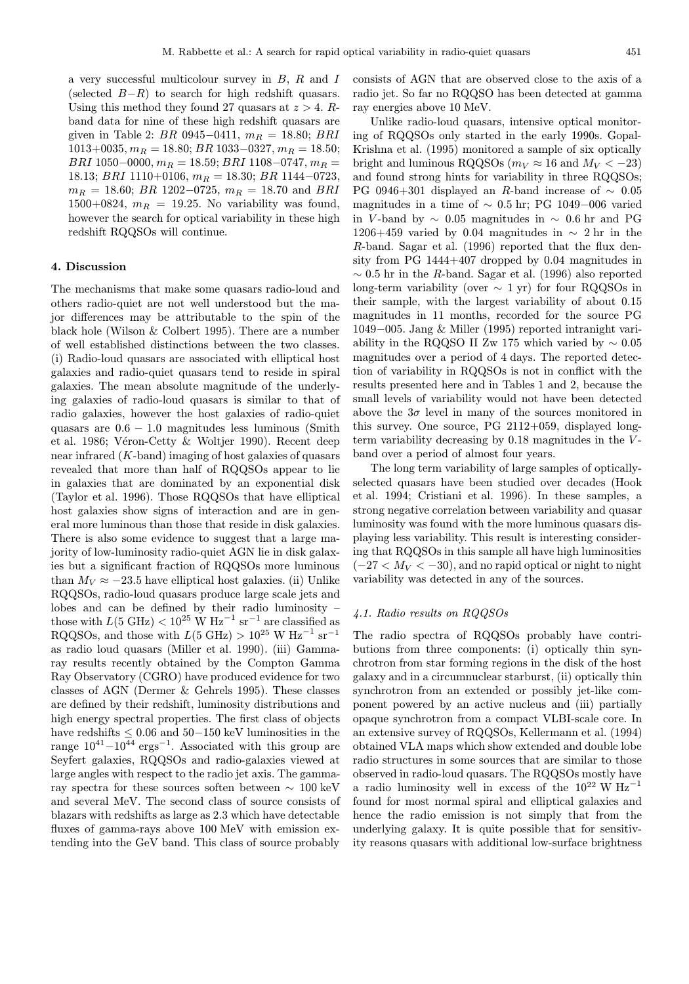a very successful multicolour survey in  $B$ ,  $R$  and  $I$ (selected  $B-R$ ) to search for high redshift quasars. Using this method they found 27 quasars at  $z > 4$ . Rband data for nine of these high redshift quasars are given in Table 2: BR 0945-0411,  $m_R = 18.80$ ; BRI  $1013+0035$ ,  $m_R = 18.80$ ;  $BR$  1033-0327,  $m_R = 18.50$ ;  $BRI$  1050–0000,  $m_R = 18.59$ ;  $BRI$  1108–0747,  $m_R =$ 18.13; BRI 1110+0106,  $m_B = 18.30$ ; BR 1144-0723,  $m_R = 18.60$ ; BR 1202–0725,  $m_R = 18.70$  and BRI  $1500+0824$ ,  $m_R = 19.25$ . No variability was found, however the search for optical variability in these high redshift RQQSOs will continue.

#### 4. Discussion

The mechanisms that make some quasars radio-loud and others radio-quiet are not well understood but the major differences may be attributable to the spin of the black hole (Wilson & Colbert 1995). There are a number of well established distinctions between the two classes. (i) Radio-loud quasars are associated with elliptical host galaxies and radio-quiet quasars tend to reside in spiral galaxies. The mean absolute magnitude of the underlying galaxies of radio-loud quasars is similar to that of radio galaxies, however the host galaxies of radio-quiet quasars are  $0.6 - 1.0$  magnitudes less luminous (Smith et al. 1986; Véron-Cetty & Woltjer 1990). Recent deep near infrared (K-band) imaging of host galaxies of quasars revealed that more than half of RQQSOs appear to lie in galaxies that are dominated by an exponential disk (Taylor et al. 1996). Those RQQSOs that have elliptical host galaxies show signs of interaction and are in general more luminous than those that reside in disk galaxies. There is also some evidence to suggest that a large majority of low-luminosity radio-quiet AGN lie in disk galaxies but a significant fraction of RQQSOs more luminous than  $M_V \approx -23.5$  have elliptical host galaxies. (ii) Unlike RQQSOs, radio-loud quasars produce large scale jets and lobes and can be defined by their radio luminosity – those with  $L(5 \text{ GHz}) < 10^{25} \text{ W Hz}^{-1} \text{ sr}^{-1}$  are classified as RQQSOs, and those with  $L(5 \text{ GHz}) > 10^{25} \text{ W Hz}^{-1} \text{ sr}^{-1}$ as radio loud quasars (Miller et al. 1990). (iii) Gammaray results recently obtained by the Compton Gamma Ray Observatory (CGRO) have produced evidence for two classes of AGN (Dermer & Gehrels 1995). These classes are defined by their redshift, luminosity distributions and high energy spectral properties. The first class of objects have redshifts ≤ 0.06 and 50−150 keV luminosities in the range  $10^{41}-10^{44}$  ergs<sup>-1</sup>. Associated with this group are Seyfert galaxies, RQQSOs and radio-galaxies viewed at large angles with respect to the radio jet axis. The gammaray spectra for these sources soften between ∼ 100 keV and several MeV. The second class of source consists of blazars with redshifts as large as 2.3 which have detectable fluxes of gamma-rays above 100 MeV with emission extending into the GeV band. This class of source probably

consists of AGN that are observed close to the axis of a radio jet. So far no RQQSO has been detected at gamma ray energies above 10 MeV.

Unlike radio-loud quasars, intensive optical monitoring of RQQSOs only started in the early 1990s. Gopal-Krishna et al. (1995) monitored a sample of six optically bright and luminous RQQSOs ( $m_V \approx 16$  and  $M_V < -23$ ) and found strong hints for variability in three RQQSOs; PG 0946+301 displayed an R-band increase of  $\sim 0.05$ magnitudes in a time of  $\sim$  0.5 hr; PG 1049–006 varied in V -band by ∼ 0.05 magnitudes in ∼ 0.6 hr and PG 1206+459 varied by 0.04 magnitudes in  $\sim 2$  hr in the R-band. Sagar et al. (1996) reported that the flux density from PG 1444+407 dropped by 0.04 magnitudes in  $\sim 0.5$  hr in the R-band. Sagar et al. (1996) also reported long-term variability (over  $\sim 1$  yr) for four RQQSOs in their sample, with the largest variability of about 0.15 magnitudes in 11 months, recorded for the source PG 1049−005. Jang & Miller (1995) reported intranight variability in the RQQSO II Zw 175 which varied by  $\sim 0.05$ magnitudes over a period of 4 days. The reported detection of variability in RQQSOs is not in conflict with the results presented here and in Tables 1 and 2, because the small levels of variability would not have been detected above the  $3\sigma$  level in many of the sources monitored in this survey. One source, PG 2112+059, displayed longterm variability decreasing by  $0.18$  magnitudes in the  $V$ band over a period of almost four years.

The long term variability of large samples of opticallyselected quasars have been studied over decades (Hook et al. 1994; Cristiani et al. 1996). In these samples, a strong negative correlation between variability and quasar luminosity was found with the more luminous quasars displaying less variability. This result is interesting considering that RQQSOs in this sample all have high luminosities  $(-27 < M_V < -30)$ , and no rapid optical or night to night variability was detected in any of the sources.

# 4.1. Radio results on RQQSOs

The radio spectra of RQQSOs probably have contributions from three components: (i) optically thin synchrotron from star forming regions in the disk of the host galaxy and in a circumnuclear starburst, (ii) optically thin synchrotron from an extended or possibly jet-like component powered by an active nucleus and (iii) partially opaque synchrotron from a compact VLBI-scale core. In an extensive survey of RQQSOs, Kellermann et al. (1994) obtained VLA maps which show extended and double lobe radio structures in some sources that are similar to those observed in radio-loud quasars. The RQQSOs mostly have a radio luminosity well in excess of the  $10^{22}$  W Hz<sup>-1</sup> found for most normal spiral and elliptical galaxies and hence the radio emission is not simply that from the underlying galaxy. It is quite possible that for sensitivity reasons quasars with additional low-surface brightness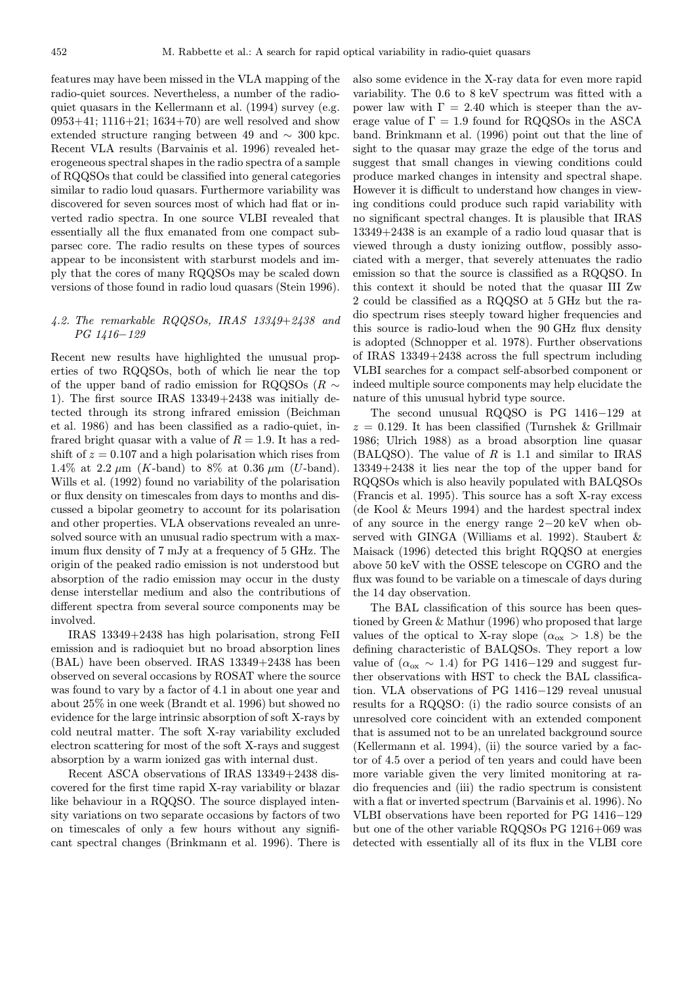features may have been missed in the VLA mapping of the radio-quiet sources. Nevertheless, a number of the radioquiet quasars in the Kellermann et al. (1994) survey (e.g. 0953+41; 1116+21; 1634+70) are well resolved and show extended structure ranging between 49 and ∼ 300 kpc. Recent VLA results (Barvainis et al. 1996) revealed heterogeneous spectral shapes in the radio spectra of a sample of RQQSOs that could be classified into general categories similar to radio loud quasars. Furthermore variability was discovered for seven sources most of which had flat or inverted radio spectra. In one source VLBI revealed that essentially all the flux emanated from one compact subparsec core. The radio results on these types of sources appear to be inconsistent with starburst models and imply that the cores of many RQQSOs may be scaled down versions of those found in radio loud quasars (Stein 1996).

# 4.2. The remarkable RQQSOs, IRAS 13349+2438 and PG 1416−129

Recent new results have highlighted the unusual properties of two RQQSOs, both of which lie near the top of the upper band of radio emission for RQQSOs ( $R \sim$ 1). The first source IRAS 13349+2438 was initially detected through its strong infrared emission (Beichman et al. 1986) and has been classified as a radio-quiet, infrared bright quasar with a value of  $R = 1.9$ . It has a redshift of  $z = 0.107$  and a high polarisation which rises from 1.4% at 2.2  $\mu$ m (*K*-band) to 8% at 0.36  $\mu$ m (*U*-band). Wills et al. (1992) found no variability of the polarisation or flux density on timescales from days to months and discussed a bipolar geometry to account for its polarisation and other properties. VLA observations revealed an unresolved source with an unusual radio spectrum with a maximum flux density of 7 mJy at a frequency of 5 GHz. The origin of the peaked radio emission is not understood but absorption of the radio emission may occur in the dusty dense interstellar medium and also the contributions of different spectra from several source components may be involved.

IRAS 13349+2438 has high polarisation, strong FeII emission and is radioquiet but no broad absorption lines (BAL) have been observed. IRAS 13349+2438 has been observed on several occasions by ROSAT where the source was found to vary by a factor of 4.1 in about one year and about 25% in one week (Brandt et al. 1996) but showed no evidence for the large intrinsic absorption of soft X-rays by cold neutral matter. The soft X-ray variability excluded electron scattering for most of the soft X-rays and suggest absorption by a warm ionized gas with internal dust.

Recent ASCA observations of IRAS 13349+2438 discovered for the first time rapid X-ray variability or blazar like behaviour in a RQQSO. The source displayed intensity variations on two separate occasions by factors of two on timescales of only a few hours without any significant spectral changes (Brinkmann et al. 1996). There is

also some evidence in the X-ray data for even more rapid variability. The 0.6 to 8 keV spectrum was fitted with a power law with  $\Gamma = 2.40$  which is steeper than the average value of  $\Gamma = 1.9$  found for RQQSOs in the ASCA band. Brinkmann et al. (1996) point out that the line of sight to the quasar may graze the edge of the torus and suggest that small changes in viewing conditions could produce marked changes in intensity and spectral shape. However it is difficult to understand how changes in viewing conditions could produce such rapid variability with no significant spectral changes. It is plausible that IRAS 13349+2438 is an example of a radio loud quasar that is viewed through a dusty ionizing outflow, possibly associated with a merger, that severely attenuates the radio emission so that the source is classified as a RQQSO. In this context it should be noted that the quasar III Zw 2 could be classified as a RQQSO at 5 GHz but the radio spectrum rises steeply toward higher frequencies and this source is radio-loud when the 90 GHz flux density is adopted (Schnopper et al. 1978). Further observations of IRAS 13349+2438 across the full spectrum including VLBI searches for a compact self-absorbed component or indeed multiple source components may help elucidate the nature of this unusual hybrid type source.

The second unusual RQQSO is PG 1416−129 at  $z = 0.129$ . It has been classified (Turnshek & Grillmair 1986; Ulrich 1988) as a broad absorption line quasar  $(BALQSO)$ . The value of R is 1.1 and similar to IRAS 13349+2438 it lies near the top of the upper band for RQQSOs which is also heavily populated with BALQSOs (Francis et al. 1995). This source has a soft X-ray excess (de Kool & Meurs 1994) and the hardest spectral index of any source in the energy range 2−20 keV when observed with GINGA (Williams et al. 1992). Staubert & Maisack (1996) detected this bright RQQSO at energies above 50 keV with the OSSE telescope on CGRO and the flux was found to be variable on a timescale of days during the 14 day observation.

The BAL classification of this source has been questioned by Green & Mathur (1996) who proposed that large values of the optical to X-ray slope  $(\alpha_{\text{ox}} > 1.8)$  be the defining characteristic of BALQSOs. They report a low value of  $(\alpha_{\text{ox}} \sim 1.4)$  for PG 1416–129 and suggest further observations with HST to check the BAL classification. VLA observations of PG 1416−129 reveal unusual results for a RQQSO: (i) the radio source consists of an unresolved core coincident with an extended component that is assumed not to be an unrelated background source (Kellermann et al. 1994), (ii) the source varied by a factor of 4.5 over a period of ten years and could have been more variable given the very limited monitoring at radio frequencies and (iii) the radio spectrum is consistent with a flat or inverted spectrum (Barvainis et al. 1996). No VLBI observations have been reported for PG 1416−129 but one of the other variable RQQSOs PG 1216+069 was detected with essentially all of its flux in the VLBI core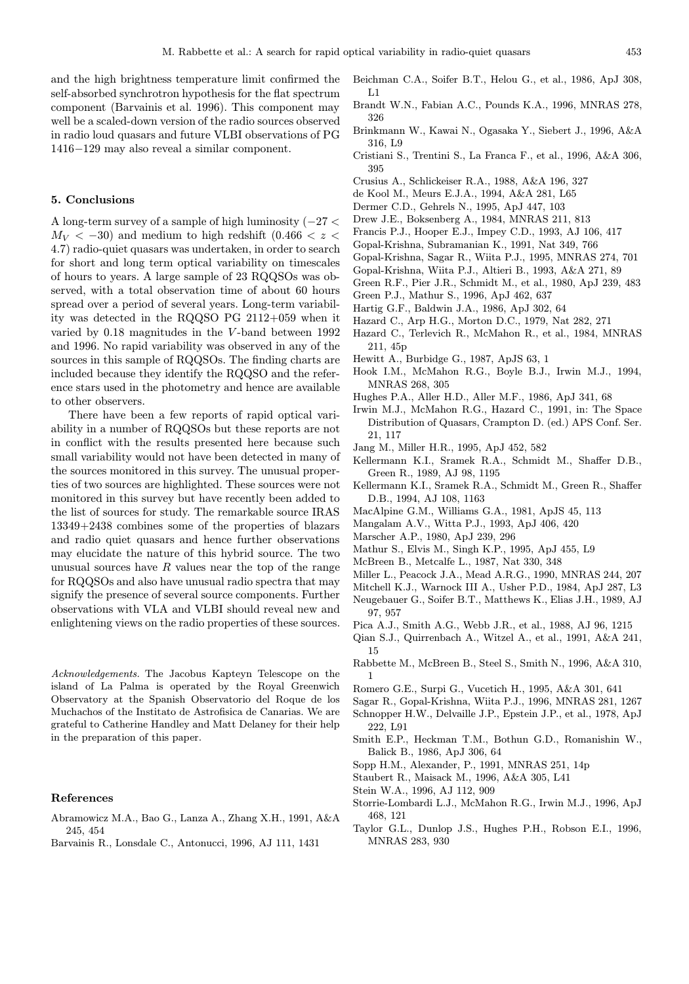and the high brightness temperature limit confirmed the self-absorbed synchrotron hypothesis for the flat spectrum component (Barvainis et al. 1996). This component may well be a scaled-down version of the radio sources observed in radio loud quasars and future VLBI observations of PG 1416−129 may also reveal a similar component.

# 5. Conclusions

A long-term survey of a sample of high luminosity (−27 <  $M_V < -30$ ) and medium to high redshift (0.466  $< z <$ 4.7) radio-quiet quasars was undertaken, in order to search for short and long term optical variability on timescales of hours to years. A large sample of 23 RQQSOs was observed, with a total observation time of about 60 hours spread over a period of several years. Long-term variability was detected in the RQQSO PG 2112+059 when it varied by 0.18 magnitudes in the V -band between 1992 and 1996. No rapid variability was observed in any of the sources in this sample of RQQSOs. The finding charts are included because they identify the RQQSO and the reference stars used in the photometry and hence are available to other observers.

There have been a few reports of rapid optical variability in a number of RQQSOs but these reports are not in conflict with the results presented here because such small variability would not have been detected in many of the sources monitored in this survey. The unusual properties of two sources are highlighted. These sources were not monitored in this survey but have recently been added to the list of sources for study. The remarkable source IRAS 13349+2438 combines some of the properties of blazars and radio quiet quasars and hence further observations may elucidate the nature of this hybrid source. The two unusual sources have  $R$  values near the top of the range for RQQSOs and also have unusual radio spectra that may signify the presence of several source components. Further observations with VLA and VLBI should reveal new and enlightening views on the radio properties of these sources.

Acknowledgements. The Jacobus Kapteyn Telescope on the island of La Palma is operated by the Royal Greenwich Observatory at the Spanish Observatorio del Roque de los Muchachos of the Institato de Astrofisica de Canarias. We are grateful to Catherine Handley and Matt Delaney for their help in the preparation of this paper.

#### References

- Abramowicz M.A., Bao G., Lanza A., Zhang X.H., 1991, A&A 245, 454
- Barvainis R., Lonsdale C., Antonucci, 1996, AJ 111, 1431
- Beichman C.A., Soifer B.T., Helou G., et al., 1986, ApJ 308, L1
- Brandt W.N., Fabian A.C., Pounds K.A., 1996, MNRAS 278, 326
- Brinkmann W., Kawai N., Ogasaka Y., Siebert J., 1996, A&A 316, L9
- Cristiani S., Trentini S., La Franca F., et al., 1996, A&A 306, 395
- Crusius A., Schlickeiser R.A., 1988, A&A 196, 327
- de Kool M., Meurs E.J.A., 1994, A&A 281, L65
- Dermer C.D., Gehrels N., 1995, ApJ 447, 103
- Drew J.E., Boksenberg A., 1984, MNRAS 211, 813
- Francis P.J., Hooper E.J., Impey C.D., 1993, AJ 106, 417
- Gopal-Krishna, Subramanian K., 1991, Nat 349, 766
- Gopal-Krishna, Sagar R., Wiita P.J., 1995, MNRAS 274, 701
- Gopal-Krishna, Wiita P.J., Altieri B., 1993, A&A 271, 89
- Green R.F., Pier J.R., Schmidt M., et al., 1980, ApJ 239, 483
- Green P.J., Mathur S., 1996, ApJ 462, 637
- Hartig G.F., Baldwin J.A., 1986, ApJ 302, 64
- Hazard C., Arp H.G., Morton D.C., 1979, Nat 282, 271
- Hazard C., Terlevich R., McMahon R., et al., 1984, MNRAS 211, 45p
- Hewitt A., Burbidge G., 1987, ApJS 63, 1
- Hook I.M., McMahon R.G., Boyle B.J., Irwin M.J., 1994, MNRAS 268, 305
- Hughes P.A., Aller H.D., Aller M.F., 1986, ApJ 341, 68
- Irwin M.J., McMahon R.G., Hazard C., 1991, in: The Space Distribution of Quasars, Crampton D. (ed.) APS Conf. Ser. 21, 117
- Jang M., Miller H.R., 1995, ApJ 452, 582
- Kellermann K.I., Sramek R.A., Schmidt M., Shaffer D.B., Green R., 1989, AJ 98, 1195
- Kellermann K.I., Sramek R.A., Schmidt M., Green R., Shaffer D.B., 1994, AJ 108, 1163
- MacAlpine G.M., Williams G.A., 1981, ApJS 45, 113
- Mangalam A.V., Witta P.J., 1993, ApJ 406, 420
- Marscher A.P., 1980, ApJ 239, 296
- Mathur S., Elvis M., Singh K.P., 1995, ApJ 455, L9
- McBreen B., Metcalfe L., 1987, Nat 330, 348
- Miller L., Peacock J.A., Mead A.R.G., 1990, MNRAS 244, 207
- Mitchell K.J., Warnock III A., Usher P.D., 1984, ApJ 287, L3
- Neugebauer G., Soifer B.T., Matthews K., Elias J.H., 1989, AJ 97, 957
- Pica A.J., Smith A.G., Webb J.R., et al., 1988, AJ 96, 1215
- Qian S.J., Quirrenbach A., Witzel A., et al., 1991, A&A 241, 15
- Rabbette M., McBreen B., Steel S., Smith N., 1996, A&A 310, 1
- Romero G.E., Surpi G., Vucetich H., 1995, A&A 301, 641
- Sagar R., Gopal-Krishna, Wiita P.J., 1996, MNRAS 281, 1267
- Schnopper H.W., Delvaille J.P., Epstein J.P., et al., 1978, ApJ 222, L91
- Smith E.P., Heckman T.M., Bothun G.D., Romanishin W., Balick B., 1986, ApJ 306, 64
- Sopp H.M., Alexander, P., 1991, MNRAS 251, 14p
- Staubert R., Maisack M., 1996, A&A 305, L41
- Stein W.A., 1996, AJ 112, 909
- Storrie-Lombardi L.J., McMahon R.G., Irwin M.J., 1996, ApJ 468, 121
- Taylor G.L., Dunlop J.S., Hughes P.H., Robson E.I., 1996, MNRAS 283, 930